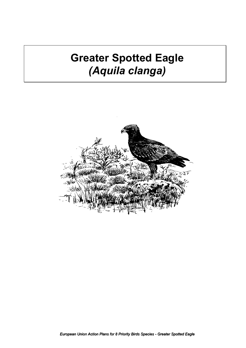# **Greater Spotted Eagle**  *(Aquila clanga)*

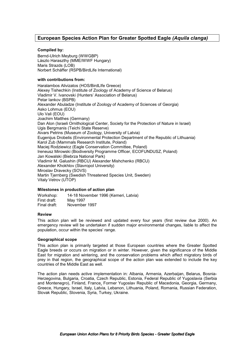# **European Species Action Plan for Greater Spotted Eagle** *(Aquila clanga)*

### **Compiled by:**

Bernd-Ulrich Meyburg (WWGBP) Lászlo Haraszthy (MME/WWF Hungary) Maris Strazds (LOB) Norbert Schäffer (RSPB/BirdLife International)

### **with contributions from:**

Haralambos Alivizatos (HOS/BirdLIfe Greece) Alexey Tishechkin (Institute of Zoology of Academy of Science of Belarus) Vladimir V. Ivanovski (Hunters' Association of Belarus) Petar Iankov (BSPB) Alexander Abuladze (Institute of Zoology of Academy of Sciences of Georgia) Asko Lohmus (EOU) Ulo Vali (EOU) Joachim Matthes (Germany) Dan Alon (Israeli Ornithological Center, Society for the Protection of Nature in Israel) Ugis Bergmanis (Teichi State Reserve) Aivars Petrins (Museum of Zoology, University of Latvia) Eugenijus Drobelis (Environmental Protection Department of the Republic of Lithuania) Karol Zub (Mammals Research Institute, Poland) Maciej Rodziewicz (Eagle Conservation Committee, Poland) Ireneusz Mirowski (Biodiversity Programme Officer, ECOFUNDUSZ, Poland) Jan Kowalski (Biebrza National Park) Vladimir M. Galushin (RBCU) Alexander Mishchenko (RBCU) Alexander Khokhlov (Stavropol University) Miroslav Dravecky (SOVS) Martin Tjernberg (Swedish Threatened Species Unit, Sweden) Vitaly Vetrov (UTOP)

### **Milestones in production of action plan**

Workshop: 14-18 November 1996 (Kemeri, Latvia) First draft: May 1997 Final draft: November 1997

### **Review**

This action plan will be reviewed and updated every four years (first review due 2000). An emergency review will be undertaken if sudden major environmental changes, liable to affect the population, occur within the species' range.

### **Geographical scope**

This action plan is primarily targeted at those European countries where the Greater Spotted Eagle breeds or occurs on migration or in winter. However, given the significance of the Middle East for migration and wintering, and the conservation problems which affect migratory birds of prey in that region, the geographical scope of the action plan was extended to include the key countries of the Middle East as well.

The action plan needs active implementation in: Albania, Armenia, Azerbaijan, Belarus, Bosnia-Herzegovina, Bulgaria, Croatia, Czech Republic, Estonia, Federal Republic of Yugoslavia (Serbia and Montenegro), Finland, France, Former Yugoslav Republic of Macedonia, Georgia, Germany, Greece, Hungary, Israel, Italy, Latvia, Lebanon, Lithuania, Poland, Romania, Russian Federation, Slovak Republic, Slovenia, Syria, Turkey, Ukraine.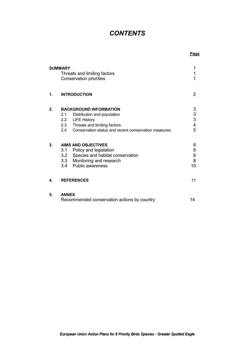# *CONTENTS*

**Page**

|    | <b>SUMMARY</b><br>Threats and limiting factors<br><b>Conservation priorities</b> |  |
|----|----------------------------------------------------------------------------------|--|
| 1. | <b>INTRODUCTION</b>                                                              |  |
| 2. | <b>BACKGROUND INFORMATION</b>                                                    |  |
|    | Distribution and population<br>2.1                                               |  |
|    | <b>LIFE History</b><br>$2.2\phantom{0}$                                          |  |
|    | 2.3<br>Threats and limiting factors                                              |  |
|    | Conservation status and recent conservation measures<br>2.4                      |  |
| 3. | <b>AIMS AND OBJECTIVES</b>                                                       |  |
|    | Policy and legislation<br>3.1                                                    |  |
|    | Species and habitat conservation<br>3.2                                          |  |
|    | 3.3 Monitoring and research                                                      |  |
|    | <b>Public awareness</b><br>3.4                                                   |  |
| 4. | <b>REFERENCES</b>                                                                |  |
| 5. | <b>ANNEX</b>                                                                     |  |
|    | Recommended conservation actions by country                                      |  |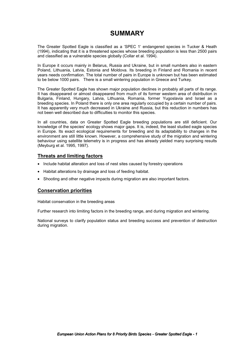# **SUMMARY**

The Greater Spotted Eagle is classified as a 'SPEC 1' endangered species in Tucker & Heath (1994), indicating that it is a threatened species whose breeding population is less than 2500 pairs and classified as a vulnerable species globally (Collar et al. 1994).

In Europe it occurs mainly in Belarus, Russia and Ukraine, but in small numbers also in eastern Poland, Lithuania, Latvia, Estonia and Moldova. Its breeding in Finland and Romania in recent years needs confirmation. The total number of pairs in Europe is unknown but has been estimated to be below 1000 pairs. There is a small wintering population in Greece and Turkey.

The Greater Spotted Eagle has shown major population declines in probably all parts of its range. It has disappeared or almost disappeared from much of its former western area of distribution in Bulgaria, Finland, Hungary, Latvia, Lithuania, Romania, former Yugoslavia and Israel as a breeding species. In Poland there is only one area regularly occupied by a certain number of pairs. It has apparently very much decreased in Ukraine and Russia, but this reduction in numbers has not been well described due to difficulties to monitor this species.

In all countries, data on Greater Spotted Eagle breeding populations are still deficient. Our knowledge of the species' ecology shows major gaps. It is, indeed, the least studied eagle species in Europe. Its exact ecological requirements for breeding and its adaptability to changes in the environment are still little known. However, a comprehensive study of the migration and wintering behaviour using satellite telemetry is in progress and has already yielded many surprising results (Meyburg et al. 1995, 1997).

### **Threats and limiting factors**

- Include habitat alteration and loss of nest sites caused by forestry operations
- Habitat alterations by drainage and loss of feeding habitat.
- Shooting and other negative impacts during migration are also important factors.

### **Conservation priorities**

Habitat conservation in the breeding areas

Further research into limiting factors in the breeding range, and during migration and wintering.

National surveys to clarify population status and breeding success and prevention of destruction during migration.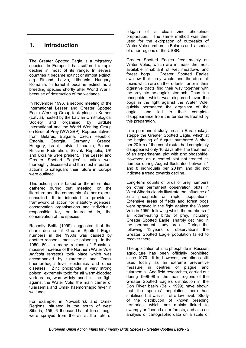# **1. Introduction**

The Greater Spotted Eagle is a migratory species. In Europe it has suffered a rapid decline in most of its range. In several countries it became extinct or almost extinct, e.g. Finland, Latvia, Lithuania, Hungary, Romania. In Israel it became extinct as a breeding species shortly after World War II because of destruction of the wetlands.

In November 1996, a second meeting of the International Lesser and Greater Spotted Eagle Working Group took place in Kemeri (Latvia), hosted by the Latvian Ornithological Society and organised by BirdLife International and the World Working Group on Birds of Prey (WWGBP). Representatives from Belarus, Bulgaria, Czech Republic, Estonia, Georgia, Germany, Greece, Hungary, Israel, Latvia, Lithuania, Poland, Russian Federation, Slovak Republic, UK and Ukraine were present. The Lesser and Greater Spotted Eagles' situation was thoroughly discussed and the most important actions to safeguard their future in Europe were outlined.

This action plan is based on the information gathered during that meeting, on the literature and the comments of other experts consulted. It is intended to provide a framework of action for statutory agencies, conservation organisations and individuals responsible for, or interested in, the conservation of the species.

Recently Belik (1999) suggested that the sharp decline of Greater Spotted Eagle numbers in the 1960s was caused by another reason – massive poisoning. In the 1950s-60s in many regions of Russia a massive increase of the Northern Water Vole *Arvicola terrestris* took place which was accompanied by tularaemia and Omsk haemorrhagic fever epidemics and other diseases. Zinc phosphide, a very strong poison, extremely toxic for all warm-blooded vertebrates, was widely used in the fight against the Water Vole, the main carrier of tularaemia and Omsk haemorrhagic fever in wetlands.

For example, in Novosibirsk and Omsk Regions, situated in the south of west Siberia, 155, 6 thousand ha of forest bogs were sprayed from the air at the rate of

5 kg/ha of a clean zinc phosphide preparation. The same method was then used for the extirpation of outbreaks of Water Vole numbers in Belarus and a series of other regions of the USSR.

Greater Spotted Eagles feed mainly on Water Voles, which are in mass the most available inhabitant of wet meadows and forest bogs. Greater Spotted Eagles swallow their prey whole and therefore all toxins which are on the rodents' fur or in their digestive tracts find their way together with the prey into the eagle's stomach. Thus zinc phosphide, which was dispersed over the bogs in the fight against the Water Vole, quickly permeated the organism of the<br>eagles and led to their complete led to their disappearance from the territories treated by this preparation.

In a permanent study area in Barabinskaja steppe the Greater Spotted Eagle, which at the beginning of August numbered 8 birds per 20 km of the count route, had completely disappeared only 10 days after the treatment of an experimental plot with zinc phosphide. However, on a control plot not treated its number during August fluctuated between 4 and 8 individuals per 20 km and did not indicate a trend towards decline.

Long-term counts of birds of prey numbers on other permanent observation plots in West Siberia clearly illustrate the influence of zinc phosphide on raptor populations. Extensive areas of fields and forest bogs were sprayed in the fight against the Water Vole in 1959, following which the numbers of all rodent-eating birds of prey, including Greater Spotted Eagle, sharply declined in the permanent study area. During the following 13 years of observations the Greater Spotted Eagle population failed to recover there.

The application of zinc phosphide in Russian agriculture has been officially prohibited since 1970. It is, however, sometimes still used locally as an extreme preventive measure in centres of plague and tularaemia. And field researches, carried out during 1996-98 in the main regions of the Greater Spotted Eagle's distribution in the Don River basin (Belik 1999) have shown that the species' population there had stabilised but was still at a low level. Study of the distribution of known breeding territories, which are mainly linked to swampy or flooded alder forests, and also an analysis of cartographic data on a scale of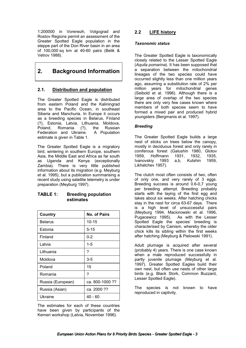1:200000 in Vorenezh, Volgograd and Rostov Regions permit an assessment of the Greater Spotted Eagle population in the steppe part of the Don River basin in an area of 100,000 sq km at 40-60 pairs (Belik & Vetrov 1988).

# **2. Background Information**

# **2.1. Distribution and population**

The Greater Spotted Eagle is distributed from eastern Poland and the Kaliningrad area to the Pacific Ocean, in southeast Siberia and Manchuria. In Europe it occurs as a breeding species in Belarus, Finland (?), Estonia, Latvia, Lithuania, Moldova, Poland, Romania (?), the Russian Federation and Ukraine. A Population estimate is given in Table 1.

The Greater Spotted Eagle is a migratory bird, wintering in southern Europe, southern Asia, the Middle East and Africa as far south as Uganda and Kenya (exceptionally Zambia). There is very little published information about its migration (e.g. Meyburg et al. 1995), but a publication summarising a recent study using satellite telemetry is under preparation (Meyburg 1997).

# **TABLE 1: Breeding population estimates**

| <b>Country</b>    | <b>No. of Pairs</b> |
|-------------------|---------------------|
| <b>Belarus</b>    | $10 - 15$           |
| Estonia           | 5-15                |
| Finland           | $0 - 2$             |
| Latvia            | $1 - 5$             |
| Lithuania         | ?                   |
| Moldova           | 3-5                 |
| Poland            | 15                  |
| Romania           | ?                   |
| Russia (European) | ca. 800-1000 ??     |
| Russia (Asian)    | ca. 2000 ??         |
| Ukraine           | 40 - 60             |

The estimates for each of these countries have been given by participants of the Kemeri workshop (Latvia, November 1996).

# **2.2 LIFE history**

### *Taxonomic status*

The Greater Spotted Eagle is taxonomically closely related to the Lesser Spotted Eagle (*Aquila pomarina*). It has been supposed that a separation between the mitochondrial lineages of the two species could have occurred slightly less than one million years ago, assuming a substitution rate of 2% per million years for mitochondrial genes (Seibold et al. 1996). Although there is a large area of overlap of the two species there are only very few cases known where members of both species seem to have formed a mixed pair and produced hybrid youngsters (Bergmanis et al. 1997).

# *Breeding*

The Greater Spotted Eagle builds a large nest of sticks on trees below the canopy, mostly in deciduous forest and only rarely in coniferous forest (Galushin 1980, Glotov 1959, Hoffmann 1931, 1932, 1935, Ivanovskiy 1993 a,b, Kutshin 1959, Likhatchev 1957).

The clutch most often consists of two, often of only one, and very rarely of 3 eggs. Breeding success is around 0.6-0,7 young per breeding attempt. Breeding probably starts with the laying of the first egg and takes about six weeks. After hatching chicks stay in the nest for circa 63-67 days. There is a high level of unsuccessful pairs (Meyburg 1994, Maciorowski et al. 1996, Pugacewicz 1995). As with the Lesser Spotted Eagle the species' breeding is characterised by Cainism, whereby the older chick kills its sibling within the first weeks after hatching (Meyburg & Pielowski 1991).

Adult plumage is acquired after several (probably 4) years. There is one case known when a male reproduced successfully in partly juvenile plumage (Meyburg et al. 1997). Greater Spotted Eagles build their own nest, but often use nests of other large birds (e.g. Black Stork, Common Buzzard, Lesser Spotted Eagle).

The species is not known to have reproduced in captivity.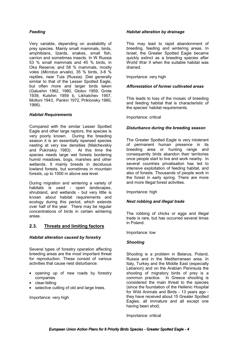### *Feeding*

Very variable, depending on availability of prey species. Mainly small mammals, birds, amphibians, lizards, snakes, small fish, carrion and sometimes insects. In W Russia 53 % small mammals and 45 % birds, in Oka Reserve; and 58 % mammals, mostly voles (*Microtus arvalis*), 35 % birds, 3-6 % reptiles, near Tula (Russia). Diet generally similar to that of the Lesser Spotted Eagle, but often more and larger birds taken (Galushin 1962, 1980, Glotov 1959, Grote 1939, Kutshin 1959 b, Likhatchev 1957, Moltoni 1943, Pankin 1972, Priklonsky 1960, 1966).

### *Habitat Requirements*

Compared with the similar Lesser Spotted Eagle and other large raptors, the species is very poorly known. During the breeding season it is an essentially ispersed species nesting at very low densities (Malchevskiy and Pukinskiy 1983). At this time the species needs large wet forests bordering humid meadows, bogs, marshes and other wetlands. It mainly breeds in deciduous lowland forests, but sometimes in mountain forests, up to 1000 m above sea level.

During migration and wintering a variety of habitats is used - open landscapes, shrubland, and wetlands - but very little is known about habitat requirements and ecology during this period, which extends over half of the year. There may be regular concentrations of birds in certain wintering areas.

# **2.3. Threats and limiting factors**

### *Habitat alteration caused by forestry*

Several types of forestry operation affecting breeding areas are the most important threat for reproduction. These consist of various activities that cause nest disturbance:

- opening up of new roads by forestry companies
- clear-felling
- selective cutting of old and large trees.

Importance: very high

### *Habitat alteration by drainage*

This may lead to rapid abandonment of breeding, feeding and wintering areas. In Israel, the Greater Spotted Eagle became quickly extinct as a breeding species after World War II when the suitable habitat was drained.

Importance: very high

### *Afforestation of former cultivated areas*

This leads to loss of the mosaic of breeding and feeding habitat that is characteristic of the species' habitat requirements.

Importance: critical

### *Disturbance during the breeding season*

The Greater Spotted Eagle is very intolerant of permanent human presence in its breeding area or hunting range and consequently birds abandon their territories once people start to live and work nearby. In several countries privatisation has led to intensive exploitation of feeding habitat, and also of forests. Thousands of people work in the forest in early spring. There are more and more illegal forest activities.

Importance: high

### *Nest robbing and illegal trade*

The robbing of chicks or eggs and illegal trade is rare, but has occurred several times in Poland.

Importance: low

### *Shooting*

Shooting is a problem in Belarus, Poland, Russia and in the Mediterranean area. In Italy, Turkey and the Middle East (especially Lebanon) and on the Arabian Peninsula the shooting of migratory birds of prey is a common practice. In Greece shooting is considered the main threat to the species (since the foundation of the Hellenic Hospital for Wild Animals and Birds - 13 years ago they have received about 15 Greater Spotted Eagles, all immature and all except one having been shot).

Importance: critical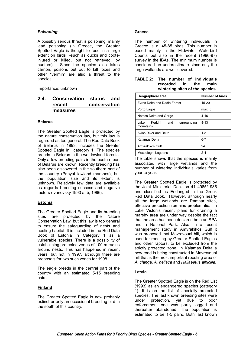### *Poisoning*

A possibly serious threat is poisoning, mainly lead poisoning (in Greece, the Greater Spotted Eagle is thought to feed in a large extent on birds -such as ducks and cootsinjured or killed, but not retrieved, by hunters). Since the species also takes carrion, poisons put out to kill foxes and other "vermin" are also a threat to the species.

Importance: unknown

# **2.4. Conservation status and recent conservation measures**

### **Belarus**

The Greater Spotted Eagle is protected by the nature conservation law, but this law is regarded as too general. The Red Data Book of Belarus in 1993. includes the Greater Spotted Eagle in category 1. The species breeds in Belarus in the wet lowland forests. Only a few breeding pairs in the eastern part of Belarus are known. Recently breeding has also been discovered in the southern part of the country (Pripyat lowland marshes), but the population size and its extent is unknown. Relatively few data are available as regards breeding success and negative factors (Ivanovsky 1993 a, b, 1996).

### **Estonia**

The Greater Spotted Eagle and its breeding sites are protected by the Nature Conservation Law, but this law is too general to ensure the safeguarding of nests and nesting habitat. It is included in the Red Data Book of Estonia in Category 1 as a vulnerable species. There is a possibility of establishing protected zones of 100 m radius around nests. This has happened in recent years, but not in 1997, although there are proposals for two such zones for 1998.

The eagle breeds in the central part of the country with an estimated 5-15 breeding pairs.

### **Finland**

The Greater Spotted Eagle is now probably extinct or only an occasional breeding bird in the south of this country.

### **Greece**

The number of wintering individuals in Greece is c. 45-85 birds. This number is based mainly in the Midwinter Waterbird Counts but also in the recent (1996-97) survey in the IBAs. The minimum number is considered an underestimate since only the large wetlands are well covered.

| TABLE 2: The number of individuals |  |  |                                |
|------------------------------------|--|--|--------------------------------|
|                                    |  |  | recorded in the main           |
|                                    |  |  | wintering sites of the species |

| Geographical area                            | Number of birds |  |
|----------------------------------------------|-----------------|--|
| Evros Delta and Dadia Forest                 | $15 - 20$       |  |
| Porto Lagos                                  | max. 5          |  |
| Nestos Delta and Gorge                       | $4 - 16$        |  |
| Lake Kerkini and<br>surrounding<br>mountains | $8 - 13$        |  |
| Axios River and Delta                        | $1 - 3$         |  |
| Kalamas Delta                                | $6 - 7$         |  |
| Amvrakikos Gulf                              | $2 - 6$         |  |
| Messologhi Lagoons                           | $2 - 4$         |  |

The table shows that the species is mainly associated with large wetlands and the number of wintering individuals varies from year to year.

The Greater Spotted Eagle is protected by the Joint Ministerial Decision 41 4985/1985 and classified as Endanged in the Greek Red Data Book. However, although nearly all the large wetlands are Ramsar sites, effective protection remains problematic. In Lake Vistonis recent plans for draining a marshy area are under way despite the fact that the area has been declared both an SPA and a National Park. Also, in a recent management study in Amvrakikos Gulf it was proposed that Mavrovouni hill, which is used for roosting by Greater Spotted Eagles and other raptors, to be excluded from the strictly protected zone. In Kalamas Delta a new road is being constructed in Mavrovouni hill that is the most important roosting area of *A. clanga*, *A. heliaca* and *Haliaeetus albicilla*.

### **Latvia**

The Greater Spotted Eagle is on the Red List (1993) as an endangered species (category 1). It is on the list of specially protected species. The last known breeding sites were<br>under protection, yet due to poor under protection, yet due to enforcement one was partly logged and thereafter abandoned. The population is estimated to be 1-5 pairs. Both last known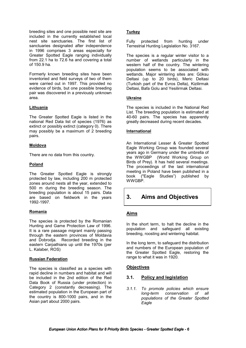breeding sites and one possible nest site are included in the currently established local nest site sanctuaries. The first list of sanctuaries designated after independence in 1996 comprises 3 areas especially for Greater Spotted Eagle ranging individually from 22.1 ha to 72.6 ha and covering a total of 150.9 ha.

Formerly known breeding sites have been inventoried and field surveys of two of them were carried out in 1997. This provided no evidence of birds, but one possible breeding pair was discovered in a previously unknown area.

### **Lithuania**

The Greater Spotted Eagle is listed in the national Red Data list of species (1976) as extinct or possibly extinct (category 0). There may possibly be a maximum of 2 breeding pairs.

### **Moldova**

There are no data from this country.

### **Poland**

The Greater Spotted Eagle is strongly protected by law, including 200 m protected zones around nests all the year, extended to 500 m during the breeding season. The breeding population is about 15 pairs. Data are based on fieldwork in the years 1992-1997.

### **Romania**

The species is protected by the Romanian Hunting and Game Protection Law of 1996. It is a rare passage migrant mainly passing through the eastern provinces of Moldavia and Dobrodja. Recorded breeding in the eastern Carpathians up until the 1970s (per L. Kalaber, ROS)

### **Russian Federation**

The species is classified as a species with rapid decline in numbers and habitat and will be included in the 2nd edition of the Red Data Book of Russia (under protection) in Category 2 (constantly decreasing). The estimated population in the European part of the country is 800-1000 pairs, and in the Asian part about 2000 pairs.

### **Turkey**

Fully protected from hunting under Terrestrial Hunting Legislation No. 3167.

The species is a regular winter visitor to a number of wetlands particularly in the western half of the country. The wintering population seems to be associated with wetlands. Major wintering sites are: Göksu Deltasi (up to 20 birds), Meric Deltasi (Turkish part of the Evros Delta), Kizilirmak Deltasi, Bafa Golu and Yesilirmak Deltasi.

### **Ukraine**

The species is included in the National Red List. The breeding population is estimated at 40-60 pairs. The species has apparently greatly decreased during recent decades.

### **International**

An International Lesser & Greater Spotted Eagle Working Group was founded several years ago in Germany under the umbrella of the WWGBP (World Working Group on Birds of Prey). It has held several meetings. The proceedings of the last international meeting in Poland have been published in a book ("Eagle Studies") published by WWGBP.

# **3. Aims and Objectives**

# **Aims**

In the short term, to halt the decline in the population and safeguard all existing breeding, roosting and wintering habitat.

In the long term, to safeguard the distribution and numbers of the European population of the Greater Spotted Eagle, restoring the range to what it was in 1920.

# **Objectives**

### **3.1. Policy and legislation**

*3.1.1. To promote policies which ensure long-term conservation of all populations of the Greater Spotted Eagle*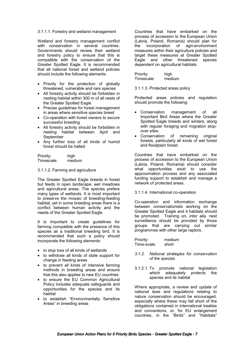#### 3.1.1.1. Forestry and wetland management

Wetland and forestry management conflict with conservation in several countries. Governments should review their wetland and forestry policy to ensure that this is compatible with the conservation of the Greater Spotted Eagle. It is recommended that all national forest and wetland policies should include the following elements:

- Priority for the protection of globally threatened, vulnerable and rare species
- All forestry activity should be forbidden in nesting habitat within 300 m of all nests of the Greater Spotted Eagle
- Precise guidelines for forest management in areas where sensitive species breed
- Co-operation with forest owners to secure successful breeding
- All forestry activity should be forbidden in nesting habitat between April and September
- Any further loss of all kinds of humid forest should be halted

Priority: high Timescale: medium

#### 3.1.1.2. Farming and agriculture

The Greater Spotted Eagle breeds in forest but feeds in open landscape, wet meadows and agricultural areas. The species prefers many types of wetlands. It is most important to preserve the mosaic of breeding-feeding habitat, yet in some breeding areas there is a conflict between human activity and the needs of the Greater Spotted Eagle.

It is important to create guidelines for farming compatible with the presence of this species as a traditional breeding bird. It is recommended that such a policy should incorporate the following elements:

- to stop loss of all kinds of wetlands
- to withdraw all kinds of state support for change in feeding areas
- to prevent all kinds of intensive farming methods in breeding areas and ensure that this also applies to new EU countries
- to ensure the EU Common Agricultural Policy includes adequate safeguards and opportunities for the species and its habitat
- to establish "Environmentally Sensitive Areas" in breeding areas

Countries that have embarked on the process of accession to the European Union (Latvia, Poland, Romania) should plan for the incorporation of agri-environment measures within their agriculture policies and target these measures at Greater Spotted Eagle and other threatened species dependent on agricultural habitats.

| Priority:  | high   |
|------------|--------|
| Timescale: | medium |

3.1.1.3. Protected areas policy

Protected areas policies and regulation should promote the following:

- Conservation management of all Important Bird Areas where the Greater Spotted Eagle breeds and winters, along with regular foraging and migration stopover sites.
- Conservation of remaining original forests, particularly all kinds of wet forest and floodplain forest.

Countries that have embarked on the process of accession to the European Union (Latvia, Poland, Romania) should consider what opportunities exist to use the approximation process and any associated funding support to establish and manage a network of protected areas.

### 3.1.1.4. International co-operation

Co-operation and information exchange between conservationists working on the Greater Spotted Eagle and it habitats should be promoted. Training on, *inter alia,* nest surveillance should be provided by those groups that are carrying out similar programmes with other large raptors.

| Priority:   | medium |
|-------------|--------|
| Time-scale: | short  |

- *3.1.2. National strategies for conservation of the species*
- 3.1.2.1. To promote national legislation which adequately protects the species and its habitat

Where appropriate, a review and update of national laws and regulations relating to nature conservation should be encouraged, especially where these may fall short of the obligations contained in international treaties and conventions, or, for EU enlargement countries, in the "Birds" and "Habitats"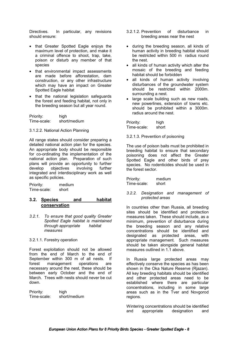Directives. In particular, any revisions should ensure:

- that Greater Spotted Eagle enjoys the maximum level of protection, and make it a criminal offence to shoot, trap, take, poison or disturb any member of that species
- that environmental impact assessments are made before afforestation, dam construction, or any other infrastructure which may have an impact on Greater Spotted Eagle habitat
- that the national legislation safeguards the forest and feeding habitat, not only in the breeding season but all year round.

Priority: high<br>Time-scale: short short/medium

#### 3.1.2.2. National Action Planning

All range states should consider preparing a detailed national action plan for the species. An appropriate body should be responsible for co-ordinating the implementation of the national action plan. Preparation of such plans will provide an opportunity to further develop objectives involving further integrated and interdisciplinary work as well as specific policies.

Priority: medium<br>Time-scale: short Time-scale:

### **3.2. Species and habitat conservation**

*3.2.1. To ensure that good quality Greater Spotted Eagle habitat is maintained through appropriate habitat measures* 

### 3.2.1.1. Forestry operation

Forest exploitation should not be allowed from the end of March to the end of September within 300 m of all nests. If forest management operations are necessary around the nest, these should be between early October and the end of March. Trees with nests should never be cut down.

Priority: high Time-scale: short/medium

- 3.2.1.2. Prevention of disturbance in breeding areas near the nest
- during the breeding season, all kinds of human activity in breeding habitat should be restricted within 500 m radius round the nest.
- all kinds of human activity which alter the mosaic of the breeding and feeding habitat should be forbidden
- all kinds of human activity involving disturbances of the groundwater system should be restricted within 2000m. surrounding a nest.
- large scale building such as new roads, new powerlines, extension of towns etc. should be prohibited within a 3000m. radius around the nest.

Priority: high Time-scale: short

3.2.1.3. Prevention of poisoning

The use of poison baits must be prohibited in breeding habitat to ensure that secondary poisoning does not affect the Greater Spotted Eagle and other birds of prey species. No rodenticides should be used in the forest sector.

Priority: medium<br>Time-scale: short Time-scale:

#### *3.2.2. Designation and management of protected areas*

In countries other than Russia, all breeding sites should be identified and protection measures taken. These should include, as a minimum, prevention of disturbance during the breeding season and any relative concentrations should be identified and designated as protected areas, with appropriate management. Such measures should be taken alongside general habitat measures outlined in 1.1 above.

In Russia large protected areas may effectively conserve the species as has been shown in the Oka Nature Reserve (Rjazan). All key breeding habitats should be identified and other protected areas need to be established where there are particular concentrations, including in some large areas such as in the Tver and Novgorod regions.

Wintering concentrations should be identified and appropriate designation and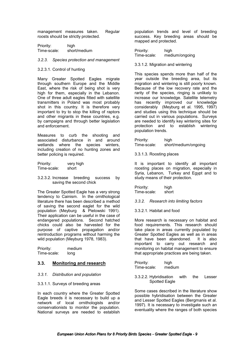management measures taken. Regular roosts should be strictly protected.

| Priority:   | high         |
|-------------|--------------|
| Time-scale: | short/medium |

#### *3.2.3. Species protection and management*

### 3.2.3.1. Control of hunting

Many Greater Spotted Eagles migrate through southern Europe and the Middle East, where the risk of being shot is very high for them, especially in the Lebanon. One of three adult eagles fitted with satellite transmitters in Poland was most probably shot in this country. It is therefore very important to try to stop the killing of raptors and other migrants in these countries, e.g. by campaigns and through better legislation and enforcement.

Measures to curb the shooting and associated disturbance in and around wetlands where the species winters, including creation of no hunting zones and better policing is required.

Priority: very high Time-scale: short

3.2.3.2. Increase breeding success by saving the second chick

The Greater Spotted Eagle has a very strong tendency to Cainism. In the ornithological literature there has been described a method of saving the second eaglet for the wild population (Meyburg & Pielowski 1991). Their application can be useful in the case of endangered populations. Second hatched chicks could also be harvested for the purpose of captive propagation and/or reintroduction programs without harming the wild population (Meyburg 1978, 1983).

| Priority:   | medium |
|-------------|--------|
| Time-scale: | long   |

### **3.3. Monitoring and research**

### *3.3.1. Distribution and population*

### 3.3.1.1. Surveys of breeding areas

In each country where the Greater Spotted Eagle breeds it is necessary to build up a network of local ornithologists and/or conservationists to monitor the population. National surveys are needed to establish population trends and level of breeding success. Key breeding areas should be mapped and protected.

Priority: high Time-scale: medium/ongoing

3.3.1.2. Migration and wintering

This species spends more than half of the year outside the breeding area, but its migration and wintering is still poorly known. Because of the low recovery rate and the rarity of the species, ringing is unlikely to increase our knowledge. Satellite telemetry has recently improved our knowledge considerably (Meyburg et al. 1995, 1997) and studies using this technique should be carried out in various populations. Surveys are needed to identify key wintering sites for protection and to establish wintering population trends.

Priority: high Time-scale: short/medium/ongoing

3.3.1.3. Roosting places

It is important to identify all important roosting places on migration, especially in Syria, Lebanon, Turkey and Egypt and to study means of their protection.

Priority: high Time-scale: short

*3.3.2. Research into limiting factors*

3.3.2.1. Habitat and food

More research is necessary on habitat and food requirements. This research should take place in areas currently populated by Greater Spotted Eagles as well as in areas that have been abandoned. It is also important to carry out research and monitoring on habitat management to ensure that appropriate practices are being taken.

Priority: high<br>Time-scale: medium Time-scale:

3.3.2.2. Hybridisation with the Lesser Spotted Eagle

Some cases described in the literature show possible hybridisation between the Greater and Lesser Spotted Eagles (Bergmanis et al. 1997). It is necessary to investigate such an eventuality where the ranges of both species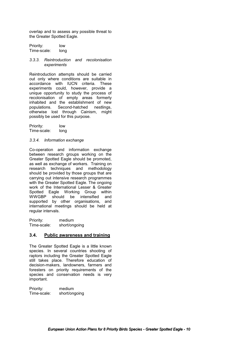overlap and to assess any possible threat to the Greater Spotted Eagle.

Priority: low Time-scale: long

### *3.3.3. Reintroduction and recolonisation experiments*

Reintroduction attempts should be carried out only where conditions are suitable in accordance with IUCN criteria. These experiments could, however, provide a unique opportunity to study the process of recolonisation of empty areas formerly inhabited and the establishment of new populations. Second-hatched nestlings, otherwise lost through Cainism, might possibly be used for this purpose.

Priority: low Time-scale: long

### *3.3.4. Information exchange*

Co-operation and information exchange between research groups working on the Greater Spotted Eagle should be promoted, as well as exchange of workers. Training on research techniques and methodology should be provided by those groups that are carrying out intensive research programmes with the Greater Spotted Eagle. The ongoing work of the International Lesser & Greater Spotted Eagle Working Group within WWGBP should be intensified and supported by other organisations, and international meetings should be held at regular intervals.

Priority: medium Time-scale: short/ongoing

### **3.4. Public awareness and training**

The Greater Spotted Eagle is a little known species. In several countries shooting of raptors including the Greater Spotted Eagle still takes place. Therefore education of decision-makers, landowners, farmers and foresters on priority requirements of the species and conservation needs is very important.

Priority: medium Time-scale: short/ongoing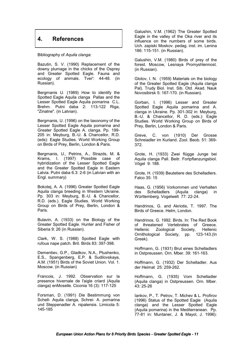# **4. References**

Bibliography of *Aquila clanga*:

Bazutin, S. V. (1990) Replacement of the downy plumage in the chicks of the Osprey and Greater Spotted Eagle. Fauna and ecology of animals. Tver': 44-48. (in Russian).

Bergmanis U. (1989) How to identify the Spotted Eagle Aquila clanga Pallas and the Lesser Spotted Eagle Aquila pomarina C.L. Brehm. Putni daba 2: 113-122 Riga, "Zinatne". (in Latvian).

Bergmanis, U. (1996) on the taxonomy of the Lesser Spotted Eagle Aquila pomarina and Greater Spotted Eagle A. clanga. Pp. 199- 205 in: Meyburg, B.-U. & Chancellor, R.D. (eds): Eagle Studies. World Working Group on Birds of Prey, Berlin, London & Paris.

Bergmanis, U., Petrins, A., Strazds, M. & Krams, I. (1997) Possible case of hybridization of the Lesser Spotted Eagle and the Greater Spotted Eagle in Eastern Latvia. Putni daba 6.3: 2-6 (in Latvian with an Engl. summary)

Bokotej, A. A. (1996) Greater Spotted Eagle Aquila clanga breeding in Western Ukraine. Pp. 303 in: Meyburg, B.-U. & Chancellor, R.D. (eds.). Eagle Studies. World Working Group on Birds of Prey, Berlin, London & Paris.

Bulavin, A. (1933) on the Biology of the Greater Spotted Eagle. Hunter and Fisher of Siberia 9: 26 (in Russian).

Clark, W. S. (1988) Spotted Eagle with rufous nape patch. Brit. Birds 83: 397-398.

Dementiev, G.P., Gladkov, N.A., Ptushenko, E.S., Spangenberg, E.P. & Sudilovskaya, A.M. (1951) Birds of the Soviet Union. Vol. 1. Moscow. (in Russian)

Francois, J. 1992. Observation sur la presence hivernale de l'aigle criard (Aquila clanga) enMoselle. Ciconia 16 (3): 117-125

Forsman, D. (1991) Die Bestimmung von Schell- Aquila clanga, Schrei- A. pomarina und Steppenadler A. nipalensis. Limicola 5: 145-185

Galushin, V.M. (1962) The Greater Spotted Eagle in the valley of the Oka river and its influence on the numbers of some birds. Uch. zapiski Moskov. pedag. inst. im. Lenina 186: 115-151. (in Russian).

Galushin, V.M. (1980) Birds of prey of the forest. Moscow, Lesnaya Promyshlennost. (in Russian).

Glotov, I. N. (1959) Materials on the biology of the Greater Spotted Eagle (Aquila clanga Pal). Trudy Biol. Inst. Sib. Otd. Akad. Nauk Novosibirsk 5: 167-170. (in Russian).

Gorban, I. (1996) Lesser and Greater Spotted Eagle Aquila pomarina and A. clanga in Ukraine. Pp. 301-302 in: Meyburg, B.-U. & Chancellor, R. D. (eds.): Eagle Studies. World Working Group on Birds of Prey, Berlin, London & Paris.

Greve, C. von (1910) Der Grosse Schreiadler im Kurland. Zool. Beob. 51: 369- 372.

Grote, H. (1933) Zwei flügge Junge bei Aquila clanga Pall. Beitr. Fortpflanzungsbiol. Vögel 9: 188.

Grote, H. (1939) Beutetiere des Schelladlers. Falco 35: 15

Haas, G. (1956) Vorkommen und Verhalten des Schelladlers (Aquila clanga) in Württemberg. Vogelwelt 77: 22-24.

Handrinos, G. and Akriotis, T. 1997. The Birds of Greece. Helm, London.

Handrinos. G. 1992. Birds. In: The Red Book of threatened Vertebrates of Greece. Hellenic Zoological Society, Hellenic Ornithological Society, pp. 123-143.(In Greek).

Hoffmann, G. (1931) Brut eines Schelladlers in Ostpreussen. Orn. Mber. 39: 161-163.

Hoffmann, G. (1932) Der Schelladler. Aus der Heimat 25: 259-262.

Hoffmann, G. (1935) Vom Schelladler (Aquila clanga) in Ostpreussen. Orn. Mber. 43: 25-26

Iankov, P., T. Petrov, T. Michev & L. Profirov (1996) Status of the Spotted Eagle (Aquila clanga) and the Lesser Spotted Eagle (Aquila pomarina) in the Mediterranean. Pp. 77-81 in: Muntaner, J. & Mayol, J. 1996):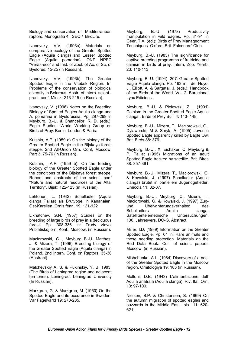Biology and conservation of Mediterranean raptors. Monografia 4. SEO / BirdLife.

Ivanovsky, V.V. (1993a) Materials on comparative ecology of the Greater Spotted Eagle (Aquila clanga) and Lesser Spotted Eagle (Aquila pomarina). ONP NPEC "Veras-eco" and Inst. of Zool. of Ac. of Sc. of Byelorus: 15-25 (in Russian).

Ivanovsky, V.V. (1993b) The Greater Spotted Eagle in the Vitebsk Region. In: Problems of the conservation of biological diversity in Belarous. Abstr. of intern. scient. pract. conf. Minsk: 213-215 (in Russian).

Ivanovsky, V. (1996) Notes on the Breeding Biology of Spotted Eagles Aquila clanga and A. pomarina in Byelorussia. Pp. 297-299 in Meyburg, B.-U. & Chancellor, R. D. (eds.): Eagle Studies. World Working Group on Birds of Prey: Berlin, London & Paris.

Kutshin, A.P. (1959 a) On the biology of the Greater Spotted Eagle in the Bijskaya forest steppe. 2nd All-Union Orn. Conf, Moscow, Part 3: 75-76 (in Russian).

Kutshin, A.P. (1959 b). On the feeding biology of the Greater Spotted Eagle under the conditions of the Bijskaya forest steppe. Report and abstracts of the scient. conf "Nature and natural resources of the Altai Territory", Bijsk: 122-123 (in Russian).

Lehtonen, L. (1942) Schelladler (Aquila clanga Pallas) als Brutvogel in Kananaien, Ost-Karelien. Ornis fenn. 19: 121-122

Likhatchev, G.N. (1957) Studies on the breeding of large birds of prey in a deciduous forest. Pp. 308-336 in: Trudy vtovoj Priblatiskoj orn. Konf., Moscow. (in Russian).

Maciorowski, G. , Meyburg, B.-U., Matthes, J. & Mizera, T. (1996) Breeding biology of the Greater Spotted Eagle (Aquila clanga) in Poland. 2nd Intern. Conf. on Raptors: 35-36 (Abstract).

Malchevskiy A. S. & Pukinskiy, Y. B. 1983. (The Birds of Leningrad region and adjacent territories). Leningrad: Leningrad University (In Russian).

Markgren, G. & Markgren, M. (1960) On the Spotted Eagle and its occurence in Sweden. Var Fagelvärld 19: 273-285.

Meyburg, B.-U. (1978) Productivity manipulation in wild eagles. Pp. 81-91 in Geer, T.A. (ed.): Birds of Prey Managedment Techniques. Oxford: Brit. Falconers' Club.

Meyburg, B.-U. (1983) The significance for captive breeding programms of fratricide and cainism in birds of prey. Intern. Zoo. Yearb. 23: 110-113

Meyburg, B.-U. (1994) 207. Greater Spotted Eagle Aquila clanga. Pp. 193 in: del Hoyo, J., Elliott, A. & Sargatal, J. (eds.): Handbook of the Birds of the World. Vol. 2. Barcelona: Lynx Edicions.

Meyburg, B.-U. & Pielowski, Z. (1991) Cainism in the Greater Spotted Eagle Aquila clanga . Birds of Prey Bull. 4: 143- 148.

Meyburg, B.-U., Mizera, T., Maciorowski, G., Dylawerski, M & Smyk, A. (1995) Juvenile Spotted Eagle apparently killed by Eagle Owl Brit. Birds 88: 376.

Meyburg, B.-U., X. Eichaker, C. Meyburg & P. Paillat (1995) Migrations of an adult Spotted Eagle tracked by satellite. Brit. Birds 88: 357-361.

Meyburg, B.-U., Mizera, T., Maciorowski, G. & Kowalski, J. (1997) Schelladler (Aquila clanga) brütet in partiellem Jugendgefieder. Limicola 11: 82-87.

Meyburg, B.-U., Meyburg, C., Mizera, T., Maciorowski, G. & Kowalski, J. (1997) Zugund Überwinterungsverhalten des Schelladlers Aquila clanga: Satellitentelemetrische Untersuchungen. 130. Jahresvers. DO-G. Abstract.

Miller, I.D. (1989) Information on the Greater Spotted Eagle. Pp. 61 in: Rare animals and those needing protection. Materials on the Red Data Book. Coll. of scient. papers. Moscow. (in Russian).

Mishchenko, A.L. (1984) Discovery of a nest of the Greater Spotted Eagle in the Moscow region. Ornitologiya 19: 183 (in Russian).

Moltoni, D.E. (1943) L'alimentazione dell' Aquila anatraia (Aquila clanga). Riv. Ital. Orn. 13: 97-100.

Nielsen, B.P. & Christensen, S. (1969) On the autumn migration of spotted eagles and buzzards in the Middle East. Ibis 111: 620- 621.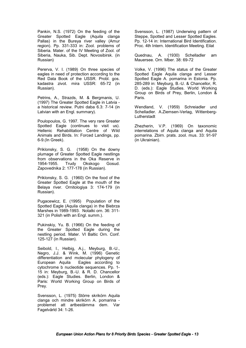Pankin, N.S. (1972) On the feeding of the Greater Spotted Eagle (Aquila clanga Pallas) in the Bureya river valley (Amur region). Pp. 331-333 in: Zool. problems of Siberia. Mater. of the IV Meeting of Zool. of Siberia, Nauka, Sib. Dept. Novosibirsk. (in Russian)

Pererva, V. I. (1989) On three species of eagles in need of protection according to the Red Data Book of the USSR. Probl. gos. kadastra zivot. mira USSR: 65-72 (in Russian).

Petrins, A., Strazds, M. & Bergmanis, U. (1997) The Greater Spotted Eagle in Latvia a historical review. Putni daba 6.3: 7-14 (in Latvian with an Engl. summary).

Poulopoulos, G. 1997. The very rare Greater Spotted Eagle (continues to visit us). Hellenic Rehabilitation Centre of Wild Animals and Birds. In: Forced Landings, pp. 6-9.(In Greek).

Priklonsky, S. G. (1958) On the downy plumage of Greater Spotted Eagle nestlings from observations in the Oka Reserve in 1954-1955. Trudy Okskogo Gosud. Zapovednika 2: 177-178 (in Russian).

Priklonsky, S. G. (1960) On the food of the Greater Spotted Eagle at the mouth of the Belaya river. Ornitologiya 3: 174-179 (in Russian).

Pugacewicz, E. (1995) Population of the Spotted Eagle (Aquila clanga) in the Biebrza Marshes in 1989-1993. Notatki orn. 36: 311- 321 (in Polish with an Engl. summ.).

Pukinskiy, Yu. B. (1966) On the feeding of the Greater Spotted Eagle during the nestling period. Mater. VI Baltic Orn. Conf. 125-127 (in Russian).

Seibold, I., Helbig, A.j., Meyburg, B.-U., Negro, J.J. & Wink, M. (1996) Genetic differentiation and molecular phylogeny of European Aquila Eagles according to cytochrome b nucleotide sequences. Pp. 1- 15 in: Meyburg, B.-U. & R. D. Chancellor (eds.): Eagle Studies. Berlin, London & Paris: World Working Group on Birds of Prey.

Svensson, L. (1975) Större skrikörn Aquila clanga och mindre skrikörn A. pomarina problemet att artbestämma dem. Var Fagelvärld 34: 1-26.

Svensson, L. (1987) Underwing pattern of Steppe, Spotted and Lesser Spotted Eagles. Pp. 12-14 in: International Bird Identification. Proc. 4th Intern. Identification Meeting. Eilat

Quednau, A. (1930) Schelladler am Mauersee. Orn. Mber. 38: 69-72

Volke, V. (1996) The status of the Greater Spotted Eagle Aquila clanga and Lesser Spotted Eagle A. pomarina in Estonia. Pp. 285-289 in: Meyburg, B.-U. & Chancellor, R. D. (eds.): Eagle Studies. World Working Group on Birds of Prey, Berlin, London & Paris.

Wendland, V. (1959) Schreiadler und Schelladler. A.Ziemsen-Verlag, Wittenberg-**Lutherstadt** 

Zhezherin, V.P. (1969) On taxonomic interrelations of Aquila clanga and Aquila pomarina. Zbirn. prats. zool. mus. 33: 91-97 (in Ukrainian).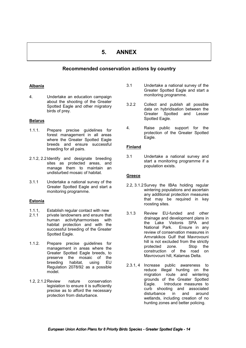# **5. ANNEX**

# **Recommended conservation actions by country**

### **Albania**

4. Undertake an education campaign about the shooting of the Greater Spotted Eagle and other migratory birds of prey.

### **Belarus**

- 1.1.1. Prepare precise guidelines for forest management in all areas where the Greater Spotted Eagle breeds and ensure successful breeding for all pairs.
- 2.1.2, 2.2 Identify and designate breeding sites as protected areas, and manage them to maintain an undisturbed mosaic of habitat.
- 3.1.1 Undertake a national survey of the Greater Spotted Eagle and start a monitoring programme.

### **Estonia**

- 1.1.1, Establish regular contact with new<br>2.1.1 private landowners and ensure tha private landowners and ensure that human activityharmonises with habitat protection and with the successful breeding of the Greater Spotted Eagle.
- 1.1.2. Prepare precise guidelines for management in areas where the Greater Spotted Eagle breeds, to preserve the mosaic of the<br>breeding habitat, using EU breeding habitat, using Regulation 2078/92 as a possible model.
- 1.2, 2.1.2 Review nature conservation legislation to ensure it is sufficiently precise as to afford the necessary protection from disturbance.
- 3.1 Undertake a national survey of the Greater Spotted Eagle and start a monitoring programme.
- 3.2.2 Collect and publish all possible data on hybridisation between the Greater Spotted and Lesser Spotted Eagle.
- 4. Raise public support for the protection of the Greater Spotted Eagle.

### **Finland**

3.1 Undertake a national survey and start a monitoring programme if a population exists.

### **Greece**

- 2.2, 3.1.2 Survey the IBAs holding regular wintering populations and ascertain any additional protection measures that may be required in key roosting sites.
- 3.1.3 Review EU-funded and other drainage and development plans in the Lake Vistonis SPA and National Park. Ensure in any review of conservation measures in Amvrakikos Gulf that Mavrovouni hill is not excluded from the strictly<br>protected zone. Stop the protected zone. construction of the road on Mavrovouni hill, Kalamas Delta.
- 2.3.1, 4 Increase public awareness to reduce illegal hunting on the migration route and wintering grounds of the Greater Spotted Eagle. Introduce measures to curb shooting and associated disturbance in and around wetlands, including creation of no hunting zones and better policing.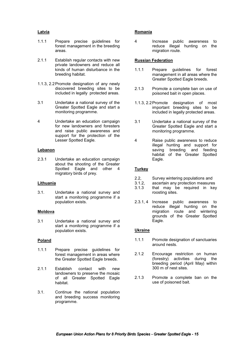### **Latvia**

- 1.1.1 Prepare precise guidelines for forest management in the breeding areas.
- 2.1.1 Establish regular contacts with new private landowners and reduce all kinds of human disturbance in the breeding habitat.
- 1.1.3, 2.2 Promote designation of any newly discovered breeding sites to be included in legally protected areas.
- 3.1 Undertake a national survey of the Greater Spotted Eagle and start a monitoring programme.
- 4 Undertake an education campaign for new landowners and foresters and raise public awareness and support for the protection of the Lesser Spotted Eagle.

### **Lebanon**

2.3.1 Undertake an education campaign about the shooting of the Greater Spotted Eagle and other 4 migratory birds of prey.

### **Lithuania**

3.1. Undertake a national survey and start a monitoring programme if a population exists.

### **Moldova**

3.1 Undertake a national survey and start a monitoring programme if a population exists.

### **Poland**

- 1.1.1 Prepare precise guidelines for forest management in areas where the Greater Spotted Eagle breeds.
- 2.1.1 Establish contact with new landowners to preserve the mosaic of all Greater Spotted Eagle habitat.
- 3.1. Continue the national population and breeding success monitoring programme.

### **Romania**

4 Increase public awareness to reduce illegal hunting on the migration route.

### **Russian Federation**

- 1.1.1 Prepare guidelines for forest management in all areas where the Greater Spotted Eagle breeds.
- 2.1.3 Promote a complete ban on use of poisoned bait in open places.
- 1.1.3, 2.2 Promote designation of most important breeding sites to be included in legally protected areas.
- 3.1 Undertake a national survey of the Greater Spotted Eagle and start a monitoring programme.
- 4 Raise public awareness to reduce illegal hunting and support for saving breeding and feeding habitat of the Greater Spotted Eagle.

### **Turkey**

- 2.2, Survey wintering populations and<br>3.1.2. ascertain any protection measures
- ascertain any protection measures
- 3.1.3 that may be required in key roosting sites.
- 2.3.1, 4 Increase public awareness to reduce illegal hunting on the migration route and wintering grounds of the Greater Spotted Eagle.

### **Ukraine**

- 1.1.1 Promote designation of sanctuaries around nests.
- 2.1.2 Encourage restriction on human (forestry) activities during the breeding period (April May) within 300 m of nest sites.
- 2.1.3 Promote a complete ban on the use of poisoned bait.